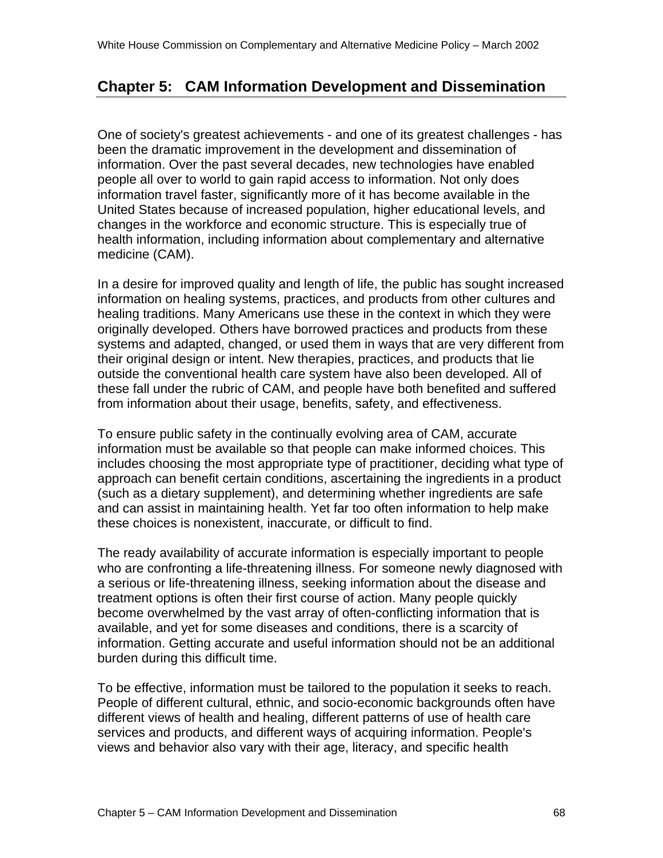# **Chapter 5: CAM Information Development and Dissemination**

One of society's greatest achievements - and one of its greatest challenges - has been the dramatic improvement in the development and dissemination of information. Over the past several decades, new technologies have enabled people all over to world to gain rapid access to information. Not only does information travel faster, significantly more of it has become available in the United States because of increased population, higher educational levels, and changes in the workforce and economic structure. This is especially true of health information, including information about complementary and alternative medicine (CAM).

In a desire for improved quality and length of life, the public has sought increased information on healing systems, practices, and products from other cultures and healing traditions. Many Americans use these in the context in which they were originally developed. Others have borrowed practices and products from these systems and adapted, changed, or used them in ways that are very different from their original design or intent. New therapies, practices, and products that lie outside the conventional health care system have also been developed. All of these fall under the rubric of CAM, and people have both benefited and suffered from information about their usage, benefits, safety, and effectiveness.

To ensure public safety in the continually evolving area of CAM, accurate information must be available so that people can make informed choices. This includes choosing the most appropriate type of practitioner, deciding what type of approach can benefit certain conditions, ascertaining the ingredients in a product (such as a dietary supplement), and determining whether ingredients are safe and can assist in maintaining health. Yet far too often information to help make these choices is nonexistent, inaccurate, or difficult to find.

The ready availability of accurate information is especially important to people who are confronting a life-threatening illness. For someone newly diagnosed with a serious or life-threatening illness, seeking information about the disease and treatment options is often their first course of action. Many people quickly become overwhelmed by the vast array of often-conflicting information that is available, and yet for some diseases and conditions, there is a scarcity of information. Getting accurate and useful information should not be an additional burden during this difficult time.

To be effective, information must be tailored to the population it seeks to reach. People of different cultural, ethnic, and socio-economic backgrounds often have different views of health and healing, different patterns of use of health care services and products, and different ways of acquiring information. People's views and behavior also vary with their age, literacy, and specific health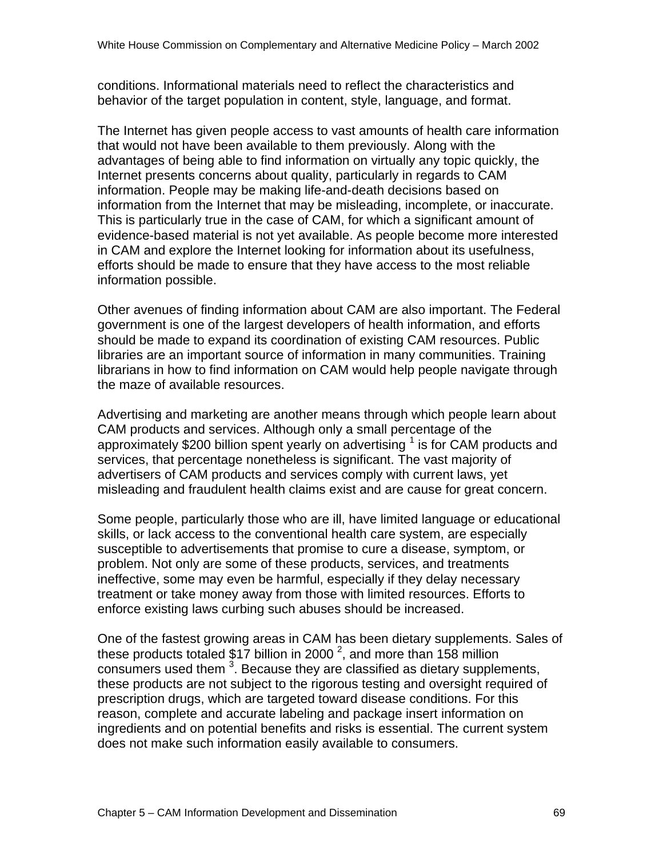conditions. Informational materials need to reflect the characteristics and behavior of the target population in content, style, language, and format.

The Internet has given people access to vast amounts of health care information that would not have been available to them previously. Along with the advantages of being able to find information on virtually any topic quickly, the Internet presents concerns about quality, particularly in regards to CAM information. People may be making life-and-death decisions based on information from the Internet that may be misleading, incomplete, or inaccurate. This is particularly true in the case of CAM, for which a significant amount of evidence-based material is not yet available. As people become more interested in CAM and explore the Internet looking for information about its usefulness, efforts should be made to ensure that they have access to the most reliable information possible.

Other avenues of finding information about CAM are also important. The Federal government is one of the largest developers of health information, and efforts should be made to expand its coordination of existing CAM resources. Public libraries are an important source of information in many communities. Training librarians in how to find information on CAM would help people navigate through the maze of available resources.

Advertising and marketing are another means through which people learn about CAM products and services. Although only a small percentage of the approximately \$200 billion spent yearly on advertising 1 is for CAM products and services, that percentage nonetheless is significant. The vast majority of advertisers of CAM products and services comply with current laws, yet misleading and fraudulent health claims exist and are cause for great concern.

Some people, particularly those who are ill, have limited language or educational skills, or lack access to the conventional health care system, are especially susceptible to advertisements that promise to cure a disease, symptom, or problem. Not only are some of these products, services, and treatments ineffective, some may even be harmful, especially if they delay necessary treatment or take money away from those with limited resources. Efforts to enforce existing laws curbing such abuses should be increased.

One of the fastest growing areas in CAM has been dietary supplements. Sales of these products totaled \$17 billion in 2000<sup>2</sup>, and more than 158 million consumers used them  $3$ . Because they are classified as dietary supplements, these products are not subject to the rigorous testing and oversight required of prescription drugs, which are targeted toward disease conditions. For this reason, complete and accurate labeling and package insert information on ingredients and on potential benefits and risks is essential. The current system does not make such information easily available to consumers.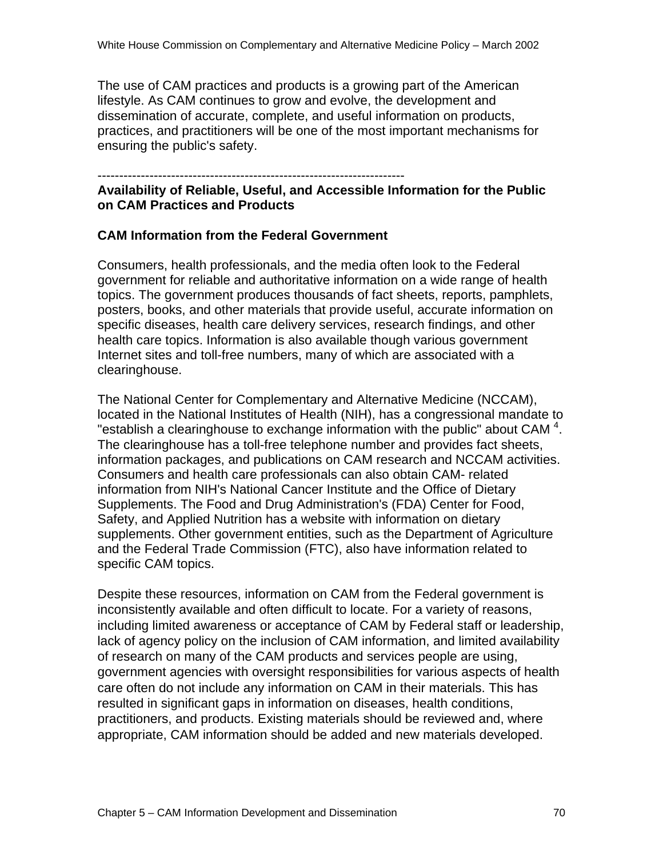The use of CAM practices and products is a growing part of the American lifestyle. As CAM continues to grow and evolve, the development and dissemination of accurate, complete, and useful information on products, practices, and practitioners will be one of the most important mechanisms for ensuring the public's safety.

-----------------------------------------------------------------------

#### **Availability of Reliable, Useful, and Accessible Information for the Public on CAM Practices and Products**

### **CAM Information from the Federal Government**

Consumers, health professionals, and the media often look to the Federal government for reliable and authoritative information on a wide range of health topics. The government produces thousands of fact sheets, reports, pamphlets, posters, books, and other materials that provide useful, accurate information on specific diseases, health care delivery services, research findings, and other health care topics. Information is also available though various government Internet sites and toll-free numbers, many of which are associated with a clearinghouse.

The National Center for Complementary and Alternative Medicine (NCCAM), located in the National Institutes of Health (NIH), has a congressional mandate to "establish a clearinghouse to exchange information with the public" about CAM  $4$ . The clearinghouse has a toll-free telephone number and provides fact sheets, information packages, and publications on CAM research and NCCAM activities. Consumers and health care professionals can also obtain CAM- related information from NIH's National Cancer Institute and the Office of Dietary Supplements. The Food and Drug Administration's (FDA) Center for Food, Safety, and Applied Nutrition has a website with information on dietary supplements. Other government entities, such as the Department of Agriculture and the Federal Trade Commission (FTC), also have information related to specific CAM topics.

Despite these resources, information on CAM from the Federal government is inconsistently available and often difficult to locate. For a variety of reasons, including limited awareness or acceptance of CAM by Federal staff or leadership, lack of agency policy on the inclusion of CAM information, and limited availability of research on many of the CAM products and services people are using, government agencies with oversight responsibilities for various aspects of health care often do not include any information on CAM in their materials. This has resulted in significant gaps in information on diseases, health conditions, practitioners, and products. Existing materials should be reviewed and, where appropriate, CAM information should be added and new materials developed.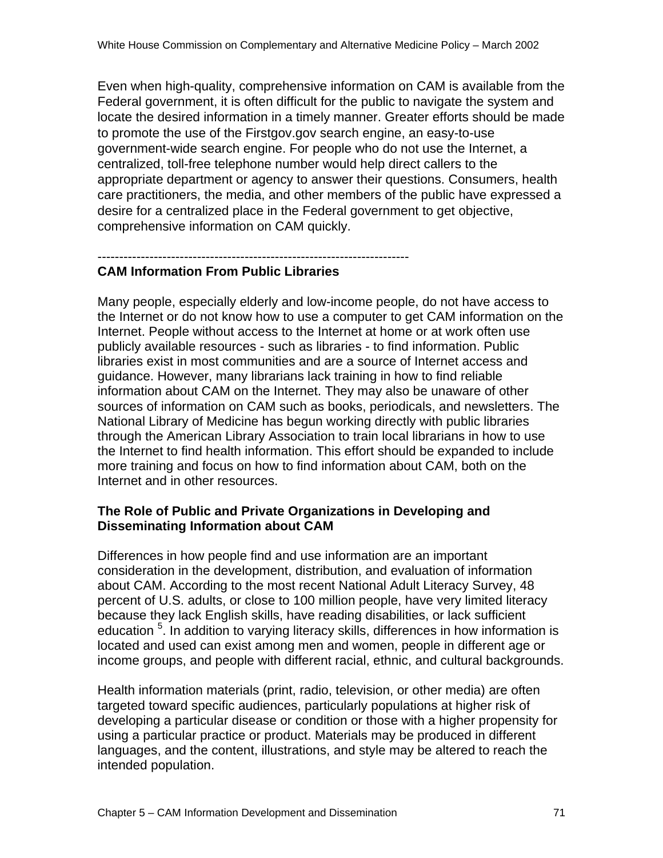Even when high-quality, comprehensive information on CAM is available from the Federal government, it is often difficult for the public to navigate the system and locate the desired information in a timely manner. Greater efforts should be made to promote the use of the Firstgov.gov search engine, an easy-to-use government-wide search engine. For people who do not use the Internet, a centralized, toll-free telephone number would help direct callers to the appropriate department or agency to answer their questions. Consumers, health care practitioners, the media, and other members of the public have expressed a desire for a centralized place in the Federal government to get objective, comprehensive information on CAM quickly.

#### ------------------------------------------------------------------------ **CAM Information From Public Libraries**

Many people, especially elderly and low-income people, do not have access to the Internet or do not know how to use a computer to get CAM information on the Internet. People without access to the Internet at home or at work often use publicly available resources - such as libraries - to find information. Public libraries exist in most communities and are a source of Internet access and guidance. However, many librarians lack training in how to find reliable information about CAM on the Internet. They may also be unaware of other sources of information on CAM such as books, periodicals, and newsletters. The National Library of Medicine has begun working directly with public libraries through the American Library Association to train local librarians in how to use the Internet to find health information. This effort should be expanded to include more training and focus on how to find information about CAM, both on the Internet and in other resources.

### **The Role of Public and Private Organizations in Developing and Disseminating Information about CAM**

Differences in how people find and use information are an important consideration in the development, distribution, and evaluation of information about CAM. According to the most recent National Adult Literacy Survey, 48 percent of U.S. adults, or close to 100 million people, have very limited literacy because they lack English skills, have reading disabilities, or lack sufficient education <sup>5</sup>. In addition to varying literacy skills, differences in how information is located and used can exist among men and women, people in different age or income groups, and people with different racial, ethnic, and cultural backgrounds.

Health information materials (print, radio, television, or other media) are often targeted toward specific audiences, particularly populations at higher risk of developing a particular disease or condition or those with a higher propensity for using a particular practice or product. Materials may be produced in different languages, and the content, illustrations, and style may be altered to reach the intended population.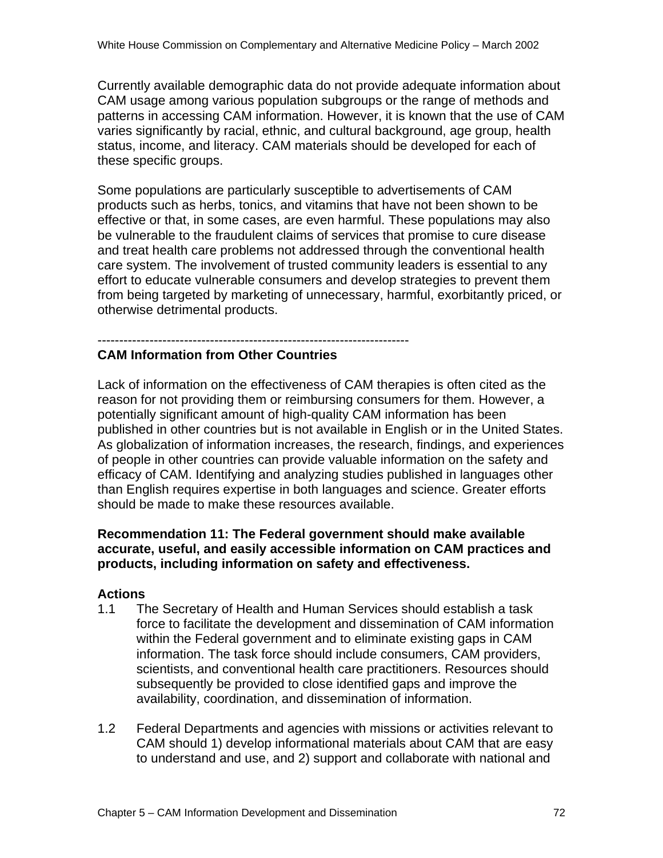Currently available demographic data do not provide adequate information about CAM usage among various population subgroups or the range of methods and patterns in accessing CAM information. However, it is known that the use of CAM varies significantly by racial, ethnic, and cultural background, age group, health status, income, and literacy. CAM materials should be developed for each of these specific groups.

Some populations are particularly susceptible to advertisements of CAM products such as herbs, tonics, and vitamins that have not been shown to be effective or that, in some cases, are even harmful. These populations may also be vulnerable to the fraudulent claims of services that promise to cure disease and treat health care problems not addressed through the conventional health care system. The involvement of trusted community leaders is essential to any effort to educate vulnerable consumers and develop strategies to prevent them from being targeted by marketing of unnecessary, harmful, exorbitantly priced, or otherwise detrimental products.

#### ------------------------------------------------------------------------ **CAM Information from Other Countries**

Lack of information on the effectiveness of CAM therapies is often cited as the reason for not providing them or reimbursing consumers for them. However, a potentially significant amount of high-quality CAM information has been published in other countries but is not available in English or in the United States. As globalization of information increases, the research, findings, and experiences of people in other countries can provide valuable information on the safety and efficacy of CAM. Identifying and analyzing studies published in languages other than English requires expertise in both languages and science. Greater efforts should be made to make these resources available.

### **Recommendation 11: The Federal government should make available accurate, useful, and easily accessible information on CAM practices and products, including information on safety and effectiveness.**

### **Actions**

- 1.1 The Secretary of Health and Human Services should establish a task force to facilitate the development and dissemination of CAM information within the Federal government and to eliminate existing gaps in CAM information. The task force should include consumers, CAM providers, scientists, and conventional health care practitioners. Resources should subsequently be provided to close identified gaps and improve the availability, coordination, and dissemination of information.
- 1.2 Federal Departments and agencies with missions or activities relevant to CAM should 1) develop informational materials about CAM that are easy to understand and use, and 2) support and collaborate with national and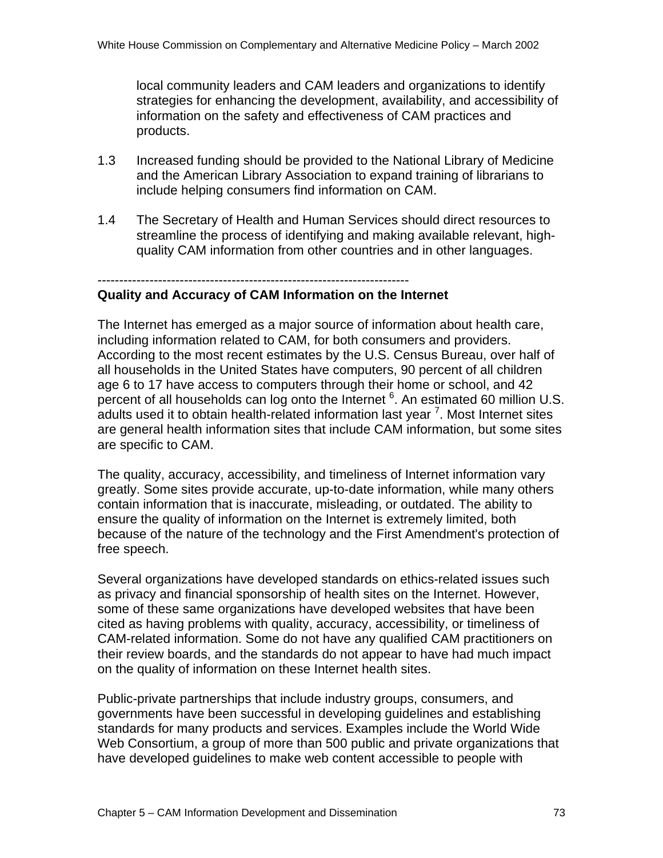local community leaders and CAM leaders and organizations to identify strategies for enhancing the development, availability, and accessibility of information on the safety and effectiveness of CAM practices and products.

- 1.3 Increased funding should be provided to the National Library of Medicine and the American Library Association to expand training of librarians to include helping consumers find information on CAM.
- 1.4 The Secretary of Health and Human Services should direct resources to streamline the process of identifying and making available relevant, highquality CAM information from other countries and in other languages.

#### ------------------------------------------------------------------------

#### **Quality and Accuracy of CAM Information on the Internet**

The Internet has emerged as a major source of information about health care, including information related to CAM, for both consumers and providers. According to the most recent estimates by the U.S. Census Bureau, over half of all households in the United States have computers, 90 percent of all children age 6 to 17 have access to computers through their home or school, and 42 percent of all households can log onto the Internet  $6$ . An estimated 60 million U.S. .<br>adults used it to obtain health-related information last year <sup>7</sup>. Most Internet sites are general health information sites that include CAM information, but some sites are specific to CAM.

The quality, accuracy, accessibility, and timeliness of Internet information vary greatly. Some sites provide accurate, up-to-date information, while many others contain information that is inaccurate, misleading, or outdated. The ability to ensure the quality of information on the Internet is extremely limited, both because of the nature of the technology and the First Amendment's protection of free speech.

Several organizations have developed standards on ethics-related issues such as privacy and financial sponsorship of health sites on the Internet. However, some of these same organizations have developed websites that have been cited as having problems with quality, accuracy, accessibility, or timeliness of CAM-related information. Some do not have any qualified CAM practitioners on their review boards, and the standards do not appear to have had much impact on the quality of information on these Internet health sites.

Public-private partnerships that include industry groups, consumers, and governments have been successful in developing guidelines and establishing standards for many products and services. Examples include the World Wide Web Consortium, a group of more than 500 public and private organizations that have developed guidelines to make web content accessible to people with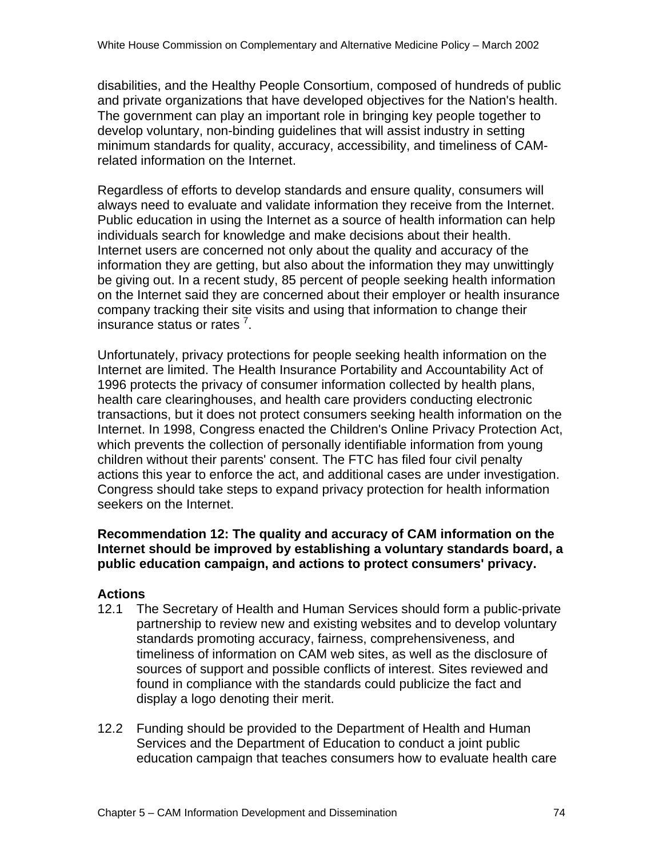disabilities, and the Healthy People Consortium, composed of hundreds of public and private organizations that have developed objectives for the Nation's health. The government can play an important role in bringing key people together to develop voluntary, non-binding guidelines that will assist industry in setting minimum standards for quality, accuracy, accessibility, and timeliness of CAMrelated information on the Internet.

Regardless of efforts to develop standards and ensure quality, consumers will always need to evaluate and validate information they receive from the Internet. Public education in using the Internet as a source of health information can help individuals search for knowledge and make decisions about their health. Internet users are concerned not only about the quality and accuracy of the information they are getting, but also about the information they may unwittingly be giving out. In a recent study, 85 percent of people seeking health information on the Internet said they are concerned about their employer or health insurance company tracking their site visits and using that information to change their insurance status or rates <sup>7</sup> .

Unfortunately, privacy protections for people seeking health information on the Internet are limited. The Health Insurance Portability and Accountability Act of 1996 protects the privacy of consumer information collected by health plans, health care clearinghouses, and health care providers conducting electronic transactions, but it does not protect consumers seeking health information on the Internet. In 1998, Congress enacted the Children's Online Privacy Protection Act, which prevents the collection of personally identifiable information from young children without their parents' consent. The FTC has filed four civil penalty actions this year to enforce the act, and additional cases are under investigation. Congress should take steps to expand privacy protection for health information seekers on the Internet.

### **Recommendation 12: The quality and accuracy of CAM information on the Internet should be improved by establishing a voluntary standards board, a public education campaign, and actions to protect consumers' privacy.**

## **Actions**

- 12.1 The Secretary of Health and Human Services should form a public-private partnership to review new and existing websites and to develop voluntary standards promoting accuracy, fairness, comprehensiveness, and timeliness of information on CAM web sites, as well as the disclosure of sources of support and possible conflicts of interest. Sites reviewed and found in compliance with the standards could publicize the fact and display a logo denoting their merit.
- 12.2 Funding should be provided to the Department of Health and Human Services and the Department of Education to conduct a joint public education campaign that teaches consumers how to evaluate health care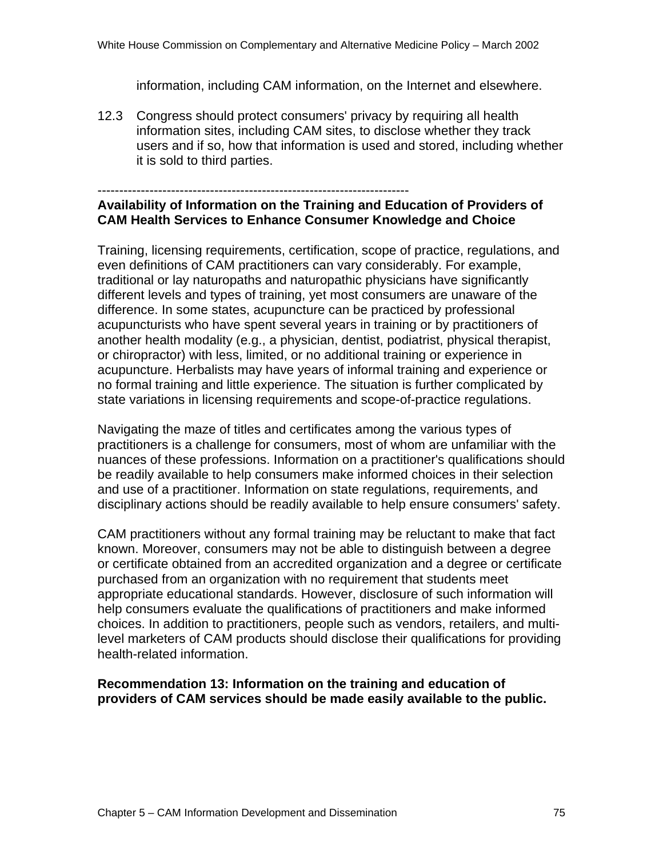information, including CAM information, on the Internet and elsewhere.

12.3 Congress should protect consumers' privacy by requiring all health information sites, including CAM sites, to disclose whether they track users and if so, how that information is used and stored, including whether it is sold to third parties.

## ------------------------------------------------------------------------

#### **Availability of Information on the Training and Education of Providers of CAM Health Services to Enhance Consumer Knowledge and Choice**

Training, licensing requirements, certification, scope of practice, regulations, and even definitions of CAM practitioners can vary considerably. For example, traditional or lay naturopaths and naturopathic physicians have significantly different levels and types of training, yet most consumers are unaware of the difference. In some states, acupuncture can be practiced by professional acupuncturists who have spent several years in training or by practitioners of another health modality (e.g., a physician, dentist, podiatrist, physical therapist, or chiropractor) with less, limited, or no additional training or experience in acupuncture. Herbalists may have years of informal training and experience or no formal training and little experience. The situation is further complicated by state variations in licensing requirements and scope-of-practice regulations.

Navigating the maze of titles and certificates among the various types of practitioners is a challenge for consumers, most of whom are unfamiliar with the nuances of these professions. Information on a practitioner's qualifications should be readily available to help consumers make informed choices in their selection and use of a practitioner. Information on state regulations, requirements, and disciplinary actions should be readily available to help ensure consumers' safety.

CAM practitioners without any formal training may be reluctant to make that fact known. Moreover, consumers may not be able to distinguish between a degree or certificate obtained from an accredited organization and a degree or certificate purchased from an organization with no requirement that students meet appropriate educational standards. However, disclosure of such information will help consumers evaluate the qualifications of practitioners and make informed choices. In addition to practitioners, people such as vendors, retailers, and multilevel marketers of CAM products should disclose their qualifications for providing health-related information.

#### **Recommendation 13: Information on the training and education of providers of CAM services should be made easily available to the public.**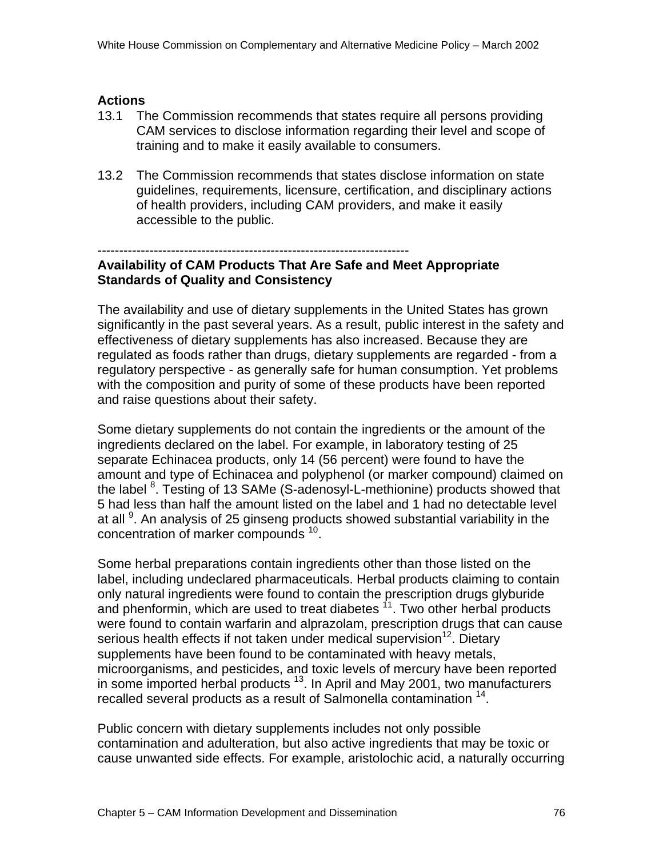### **Actions**

- 13.1 The Commission recommends that states require all persons providing CAM services to disclose information regarding their level and scope of training and to make it easily available to consumers.
- 13.2 The Commission recommends that states disclose information on state guidelines, requirements, licensure, certification, and disciplinary actions of health providers, including CAM providers, and make it easily accessible to the public.

#### ------------------------------------------------------------------------

### **Availability of CAM Products That Are Safe and Meet Appropriate Standards of Quality and Consistency**

The availability and use of dietary supplements in the United States has grown significantly in the past several years. As a result, public interest in the safety and effectiveness of dietary supplements has also increased. Because they are regulated as foods rather than drugs, dietary supplements are regarded - from a regulatory perspective - as generally safe for human consumption. Yet problems with the composition and purity of some of these products have been reported and raise questions about their safety.

Some dietary supplements do not contain the ingredients or the amount of the ingredients declared on the label. For example, in laboratory testing of 25 separate Echinacea products, only 14 (56 percent) were found to have the amount and type of Echinacea and polyphenol (or marker compound) claimed on the label <sup>8</sup>. Testing of 13 SAMe (S-adenosyl-L-methionine) products showed that 5 had less than half the amount listed on the label and 1 had no detectable level at all <sup>9</sup>. An analysis of 25 ginseng products showed substantial variability in the concentration of marker compounds<sup>10</sup>.

Some herbal preparations contain ingredients other than those listed on the label, including undeclared pharmaceuticals. Herbal products claiming to contain only natural ingredients were found to contain the prescription drugs glyburide and phenformin, which are used to treat diabetes  $<sup>11</sup>$ . Two other herbal products</sup> were found to contain warfarin and alprazolam, prescription drugs that can cause serious health effects if not taken under medical supervision<sup>12</sup>. Dietary supplements have been found to be contaminated with heavy metals, microorganisms, and pesticides, and toxic levels of mercury have been reported in some imported herbal products  $13$ . In April and May 2001, two manufacturers recalled several products as a result of Salmonella contamination <sup>14</sup>.

Public concern with dietary supplements includes not only possible contamination and adulteration, but also active ingredients that may be toxic or cause unwanted side effects. For example, aristolochic acid, a naturally occurring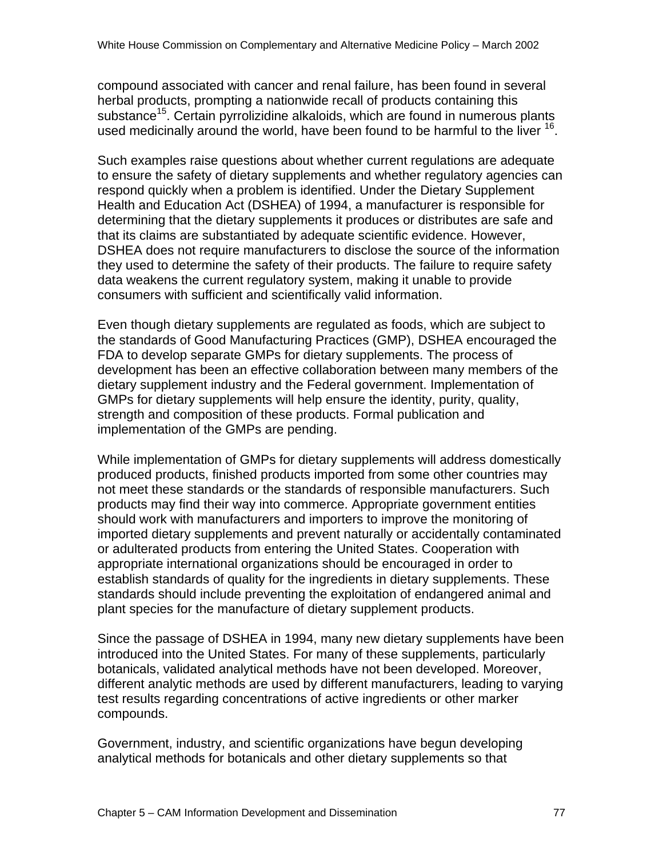compound associated with cancer and renal failure, has been found in several herbal products, prompting a nationwide recall of products containing this substance<sup>15</sup>. Certain pyrrolizidine alkaloids, which are found in numerous plants used medicinally around the world, have been found to be harmful to the liver <sup>16</sup>.

Such examples raise questions about whether current regulations are adequate to ensure the safety of dietary supplements and whether regulatory agencies can respond quickly when a problem is identified. Under the Dietary Supplement Health and Education Act (DSHEA) of 1994, a manufacturer is responsible for determining that the dietary supplements it produces or distributes are safe and that its claims are substantiated by adequate scientific evidence. However, DSHEA does not require manufacturers to disclose the source of the information they used to determine the safety of their products. The failure to require safety data weakens the current regulatory system, making it unable to provide consumers with sufficient and scientifically valid information.

Even though dietary supplements are regulated as foods, which are subject to the standards of Good Manufacturing Practices (GMP), DSHEA encouraged the FDA to develop separate GMPs for dietary supplements. The process of development has been an effective collaboration between many members of the dietary supplement industry and the Federal government. Implementation of GMPs for dietary supplements will help ensure the identity, purity, quality, strength and composition of these products. Formal publication and implementation of the GMPs are pending.

While implementation of GMPs for dietary supplements will address domestically produced products, finished products imported from some other countries may not meet these standards or the standards of responsible manufacturers. Such products may find their way into commerce. Appropriate government entities should work with manufacturers and importers to improve the monitoring of imported dietary supplements and prevent naturally or accidentally contaminated or adulterated products from entering the United States. Cooperation with appropriate international organizations should be encouraged in order to establish standards of quality for the ingredients in dietary supplements. These standards should include preventing the exploitation of endangered animal and plant species for the manufacture of dietary supplement products.

Since the passage of DSHEA in 1994, many new dietary supplements have been introduced into the United States. For many of these supplements, particularly botanicals, validated analytical methods have not been developed. Moreover, different analytic methods are used by different manufacturers, leading to varying test results regarding concentrations of active ingredients or other marker compounds.

Government, industry, and scientific organizations have begun developing analytical methods for botanicals and other dietary supplements so that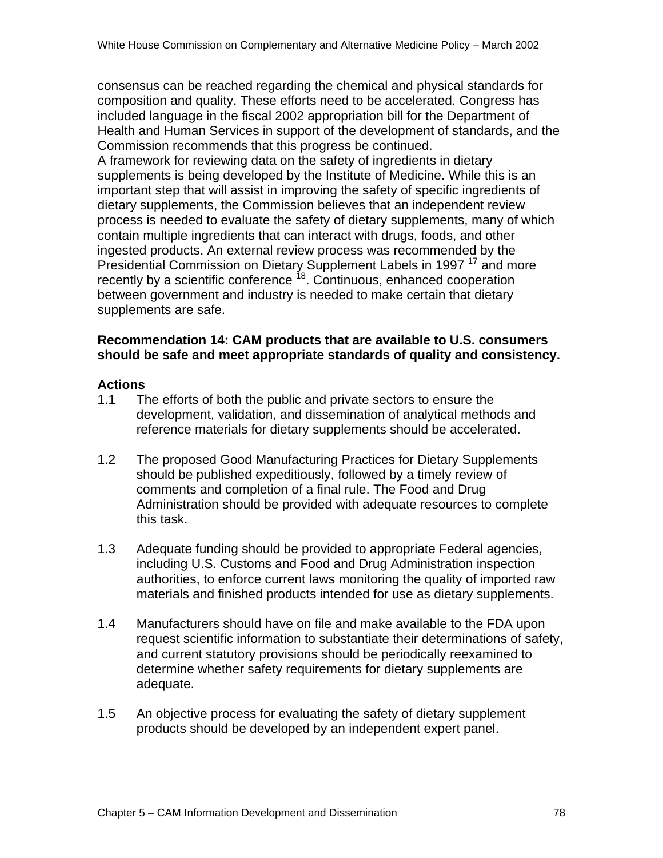consensus can be reached regarding the chemical and physical standards for composition and quality. These efforts need to be accelerated. Congress has included language in the fiscal 2002 appropriation bill for the Department of Health and Human Services in support of the development of standards, and the Commission recommends that this progress be continued.

A framework for reviewing data on the safety of ingredients in dietary supplements is being developed by the Institute of Medicine. While this is an important step that will assist in improving the safety of specific ingredients of dietary supplements, the Commission believes that an independent review process is needed to evaluate the safety of dietary supplements, many of which contain multiple ingredients that can interact with drugs, foods, and other ingested products. An external review process was recommended by the Presidential Commission on Dietary Supplement Labels in 1997<sup>17</sup> and more recently by a scientific conference  $18$ . Continuous, enhanced cooperation between government and industry is needed to make certain that dietary supplements are safe.

#### **Recommendation 14: CAM products that are available to U.S. consumers should be safe and meet appropriate standards of quality and consistency.**

#### **Actions**

- 1.1 The efforts of both the public and private sectors to ensure the development, validation, and dissemination of analytical methods and reference materials for dietary supplements should be accelerated.
- 1.2 The proposed Good Manufacturing Practices for Dietary Supplements should be published expeditiously, followed by a timely review of comments and completion of a final rule. The Food and Drug Administration should be provided with adequate resources to complete this task.
- 1.3 Adequate funding should be provided to appropriate Federal agencies, including U.S. Customs and Food and Drug Administration inspection authorities, to enforce current laws monitoring the quality of imported raw materials and finished products intended for use as dietary supplements.
- 1.4 Manufacturers should have on file and make available to the FDA upon request scientific information to substantiate their determinations of safety, and current statutory provisions should be periodically reexamined to determine whether safety requirements for dietary supplements are adequate.
- 1.5 An objective process for evaluating the safety of dietary supplement products should be developed by an independent expert panel.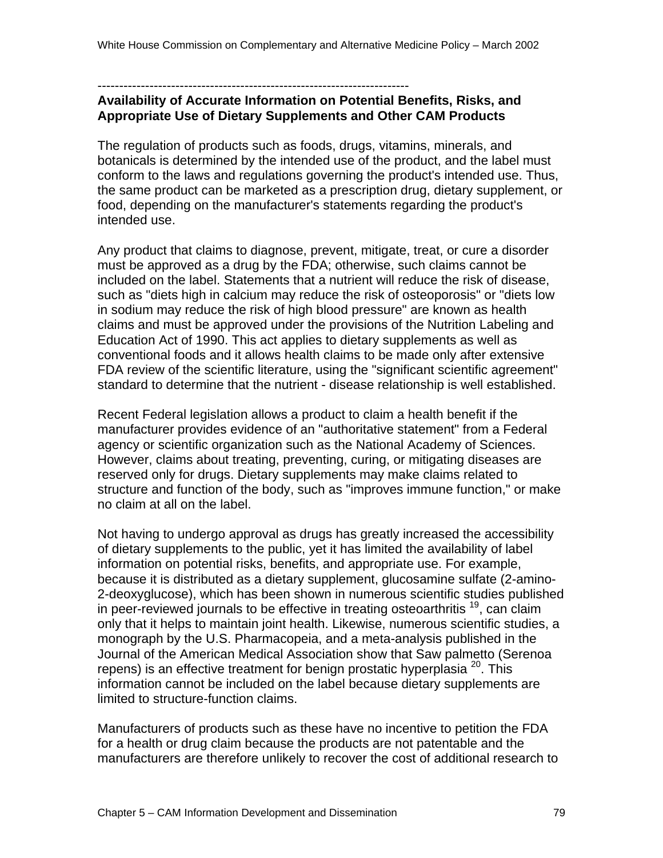------------------------------------------------------------------------

### **Availability of Accurate Information on Potential Benefits, Risks, and Appropriate Use of Dietary Supplements and Other CAM Products**

The regulation of products such as foods, drugs, vitamins, minerals, and botanicals is determined by the intended use of the product, and the label must conform to the laws and regulations governing the product's intended use. Thus, the same product can be marketed as a prescription drug, dietary supplement, or food, depending on the manufacturer's statements regarding the product's intended use.

Any product that claims to diagnose, prevent, mitigate, treat, or cure a disorder must be approved as a drug by the FDA; otherwise, such claims cannot be included on the label. Statements that a nutrient will reduce the risk of disease, such as "diets high in calcium may reduce the risk of osteoporosis" or "diets low in sodium may reduce the risk of high blood pressure" are known as health claims and must be approved under the provisions of the Nutrition Labeling and Education Act of 1990. This act applies to dietary supplements as well as conventional foods and it allows health claims to be made only after extensive FDA review of the scientific literature, using the "significant scientific agreement" standard to determine that the nutrient - disease relationship is well established.

Recent Federal legislation allows a product to claim a health benefit if the manufacturer provides evidence of an "authoritative statement" from a Federal agency or scientific organization such as the National Academy of Sciences. However, claims about treating, preventing, curing, or mitigating diseases are reserved only for drugs. Dietary supplements may make claims related to structure and function of the body, such as "improves immune function," or make no claim at all on the label.

Not having to undergo approval as drugs has greatly increased the accessibility of dietary supplements to the public, yet it has limited the availability of label information on potential risks, benefits, and appropriate use. For example, because it is distributed as a dietary supplement, glucosamine sulfate (2-amino-2-deoxyglucose), which has been shown in numerous scientific studies published in peer-reviewed journals to be effective in treating osteoarthritis  $^{19}$ , can claim only that it helps to maintain joint health. Likewise, numerous scientific studies, a monograph by the U.S. Pharmacopeia, and a meta-analysis published in the Journal of the American Medical Association show that Saw palmetto (Serenoa repens) is an effective treatment for benign prostatic hyperplasia  $^{20}$ . This information cannot be included on the label because dietary supplements are limited to structure-function claims.

Manufacturers of products such as these have no incentive to petition the FDA for a health or drug claim because the products are not patentable and the manufacturers are therefore unlikely to recover the cost of additional research to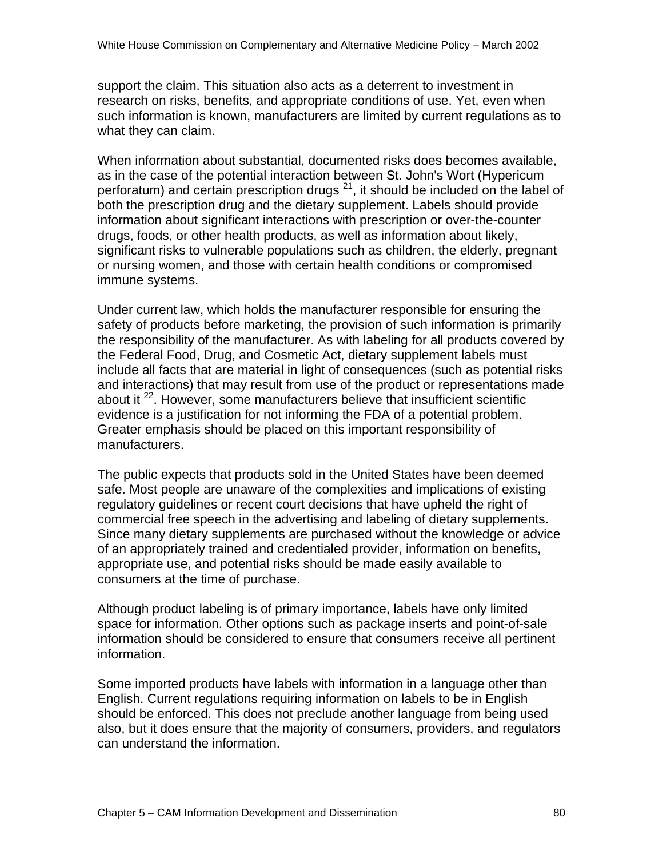support the claim. This situation also acts as a deterrent to investment in research on risks, benefits, and appropriate conditions of use. Yet, even when such information is known, manufacturers are limited by current regulations as to what they can claim.

When information about substantial, documented risks does becomes available, as in the case of the potential interaction between St. John's Wort (Hypericum perforatum) and certain prescription drugs <sup>21</sup>, it should be included on the label of both the prescription drug and the dietary supplement. Labels should provide information about significant interactions with prescription or over-the-counter drugs, foods, or other health products, as well as information about likely, significant risks to vulnerable populations such as children, the elderly, pregnant or nursing women, and those with certain health conditions or compromised immune systems.

Under current law, which holds the manufacturer responsible for ensuring the safety of products before marketing, the provision of such information is primarily the responsibility of the manufacturer. As with labeling for all products covered by the Federal Food, Drug, and Cosmetic Act, dietary supplement labels must include all facts that are material in light of consequences (such as potential risks and interactions) that may result from use of the product or representations made about it  $^{22}$ . However, some manufacturers believe that insufficient scientific evidence is a justification for not informing the FDA of a potential problem. Greater emphasis should be placed on this important responsibility of manufacturers.

The public expects that products sold in the United States have been deemed safe. Most people are unaware of the complexities and implications of existing regulatory guidelines or recent court decisions that have upheld the right of commercial free speech in the advertising and labeling of dietary supplements. Since many dietary supplements are purchased without the knowledge or advice of an appropriately trained and credentialed provider, information on benefits, appropriate use, and potential risks should be made easily available to consumers at the time of purchase.

Although product labeling is of primary importance, labels have only limited space for information. Other options such as package inserts and point-of-sale information should be considered to ensure that consumers receive all pertinent information.

Some imported products have labels with information in a language other than English. Current regulations requiring information on labels to be in English should be enforced. This does not preclude another language from being used also, but it does ensure that the majority of consumers, providers, and regulators can understand the information.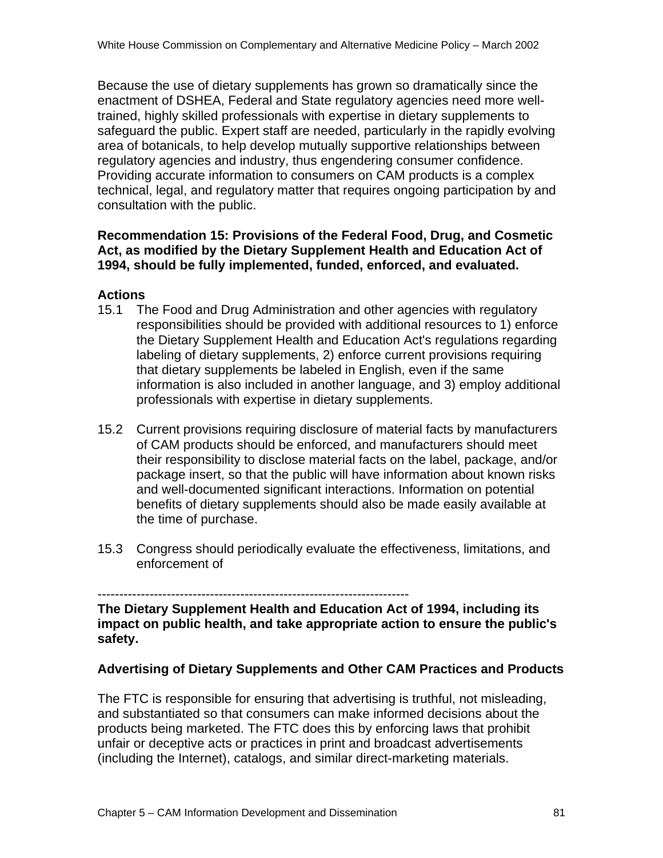Because the use of dietary supplements has grown so dramatically since the enactment of DSHEA, Federal and State regulatory agencies need more welltrained, highly skilled professionals with expertise in dietary supplements to safeguard the public. Expert staff are needed, particularly in the rapidly evolving area of botanicals, to help develop mutually supportive relationships between regulatory agencies and industry, thus engendering consumer confidence. Providing accurate information to consumers on CAM products is a complex technical, legal, and regulatory matter that requires ongoing participation by and consultation with the public.

### **Recommendation 15: Provisions of the Federal Food, Drug, and Cosmetic Act, as modified by the Dietary Supplement Health and Education Act of 1994, should be fully implemented, funded, enforced, and evaluated.**

#### **Actions**

- 15.1 The Food and Drug Administration and other agencies with regulatory responsibilities should be provided with additional resources to 1) enforce the Dietary Supplement Health and Education Act's regulations regarding labeling of dietary supplements, 2) enforce current provisions requiring that dietary supplements be labeled in English, even if the same information is also included in another language, and 3) employ additional professionals with expertise in dietary supplements.
- 15.2 Current provisions requiring disclosure of material facts by manufacturers of CAM products should be enforced, and manufacturers should meet their responsibility to disclose material facts on the label, package, and/or package insert, so that the public will have information about known risks and well-documented significant interactions. Information on potential benefits of dietary supplements should also be made easily available at the time of purchase.
- 15.3 Congress should periodically evaluate the effectiveness, limitations, and enforcement of

**The Dietary Supplement Health and Education Act of 1994, including its impact on public health, and take appropriate action to ensure the public's safety.**

### **Advertising of Dietary Supplements and Other CAM Practices and Products**

The FTC is responsible for ensuring that advertising is truthful, not misleading, and substantiated so that consumers can make informed decisions about the products being marketed. The FTC does this by enforcing laws that prohibit unfair or deceptive acts or practices in print and broadcast advertisements (including the Internet), catalogs, and similar direct-marketing materials.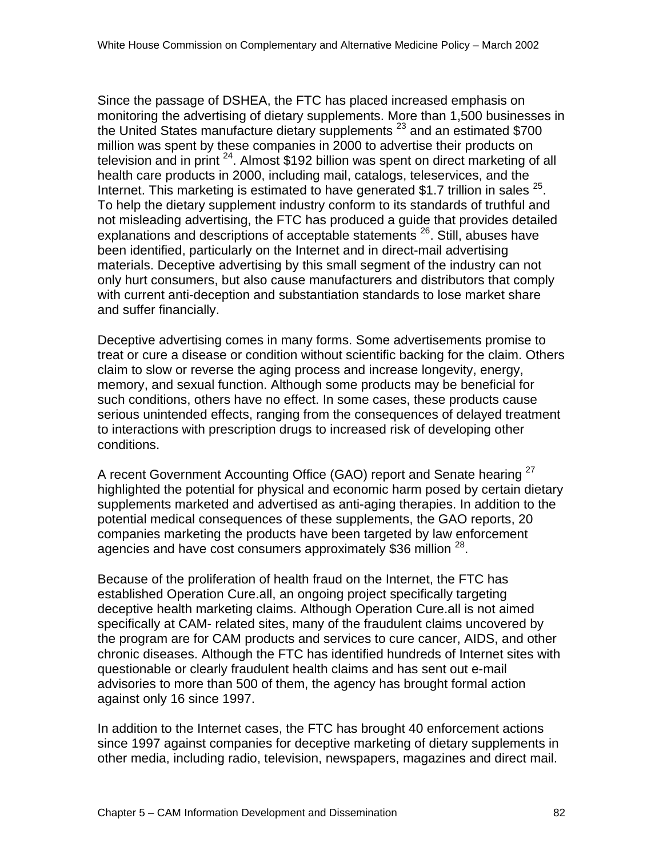Since the passage of DSHEA, the FTC has placed increased emphasis on monitoring the advertising of dietary supplements. More than 1,500 businesses in the United States manufacture dietary supplements  $^{23}$  and an estimated \$700 million was spent by these companies in 2000 to advertise their products on television and in print  $24$ . Almost \$192 billion was spent on direct marketing of all health care products in 2000, including mail, catalogs, teleservices, and the Internet. This marketing is estimated to have generated \$1.7 trillion in sales  $^{25}$ . To help the dietary supplement industry conform to its standards of truthful and not misleading advertising, the FTC has produced a guide that provides detailed explanations and descriptions of acceptable statements <sup>26</sup>. Still, abuses have been identified, particularly on the Internet and in direct-mail advertising materials. Deceptive advertising by this small segment of the industry can not only hurt consumers, but also cause manufacturers and distributors that comply with current anti-deception and substantiation standards to lose market share and suffer financially.

Deceptive advertising comes in many forms. Some advertisements promise to treat or cure a disease or condition without scientific backing for the claim. Others claim to slow or reverse the aging process and increase longevity, energy, memory, and sexual function. Although some products may be beneficial for such conditions, others have no effect. In some cases, these products cause serious unintended effects, ranging from the consequences of delayed treatment to interactions with prescription drugs to increased risk of developing other conditions.

A recent Government Accounting Office (GAO) report and Senate hearing <sup>27</sup> highlighted the potential for physical and economic harm posed by certain dietary supplements marketed and advertised as anti-aging therapies. In addition to the potential medical consequences of these supplements, the GAO reports, 20 companies marketing the products have been targeted by law enforcement agencies and have cost consumers approximately \$36 million <sup>28</sup>.

Because of the proliferation of health fraud on the Internet, the FTC has established Operation Cure.all, an ongoing project specifically targeting deceptive health marketing claims. Although Operation Cure.all is not aimed specifically at CAM- related sites, many of the fraudulent claims uncovered by the program are for CAM products and services to cure cancer, AIDS, and other chronic diseases. Although the FTC has identified hundreds of Internet sites with questionable or clearly fraudulent health claims and has sent out e-mail advisories to more than 500 of them, the agency has brought formal action against only 16 since 1997.

In addition to the Internet cases, the FTC has brought 40 enforcement actions since 1997 against companies for deceptive marketing of dietary supplements in other media, including radio, television, newspapers, magazines and direct mail.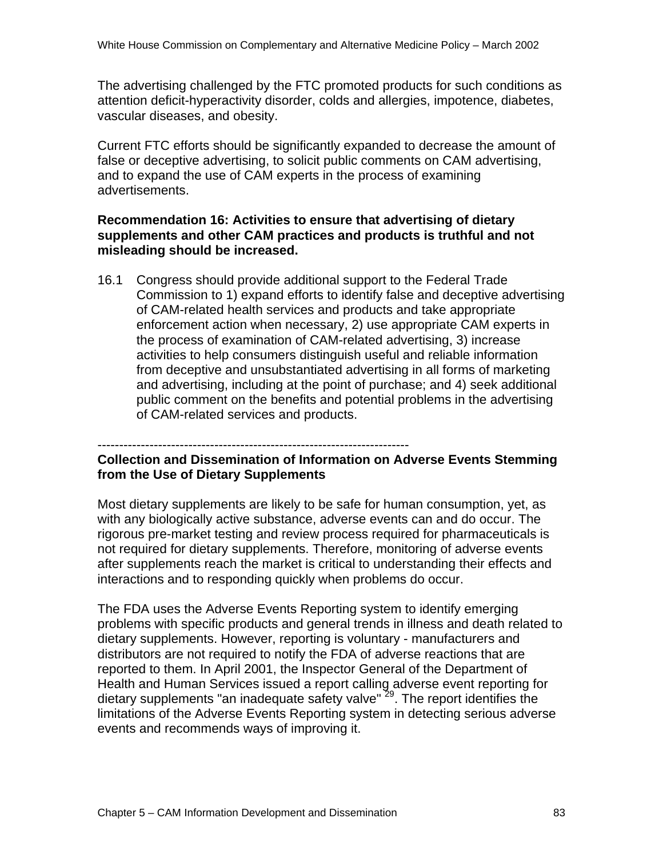The advertising challenged by the FTC promoted products for such conditions as attention deficit-hyperactivity disorder, colds and allergies, impotence, diabetes, vascular diseases, and obesity.

Current FTC efforts should be significantly expanded to decrease the amount of false or deceptive advertising, to solicit public comments on CAM advertising, and to expand the use of CAM experts in the process of examining advertisements.

#### **Recommendation 16: Activities to ensure that advertising of dietary supplements and other CAM practices and products is truthful and not misleading should be increased.**

16.1 Congress should provide additional support to the Federal Trade Commission to 1) expand efforts to identify false and deceptive advertising of CAM-related health services and products and take appropriate enforcement action when necessary, 2) use appropriate CAM experts in the process of examination of CAM-related advertising, 3) increase activities to help consumers distinguish useful and reliable information from deceptive and unsubstantiated advertising in all forms of marketing and advertising, including at the point of purchase; and 4) seek additional public comment on the benefits and potential problems in the advertising of CAM-related services and products.

------------------------------------------------------------------------

#### **Collection and Dissemination of Information on Adverse Events Stemming from the Use of Dietary Supplements**

Most dietary supplements are likely to be safe for human consumption, yet, as with any biologically active substance, adverse events can and do occur. The rigorous pre-market testing and review process required for pharmaceuticals is not required for dietary supplements. Therefore, monitoring of adverse events after supplements reach the market is critical to understanding their effects and interactions and to responding quickly when problems do occur.

The FDA uses the Adverse Events Reporting system to identify emerging problems with specific products and general trends in illness and death related to dietary supplements. However, reporting is voluntary - manufacturers and distributors are not required to notify the FDA of adverse reactions that are reported to them. In April 2001, the Inspector General of the Department of Health and Human Services issued a report calling adverse event reporting for dietary supplements "an inadequate safety valve" <sup>29</sup>. The report identifies the limitations of the Adverse Events Reporting system in detecting serious adverse events and recommends ways of improving it.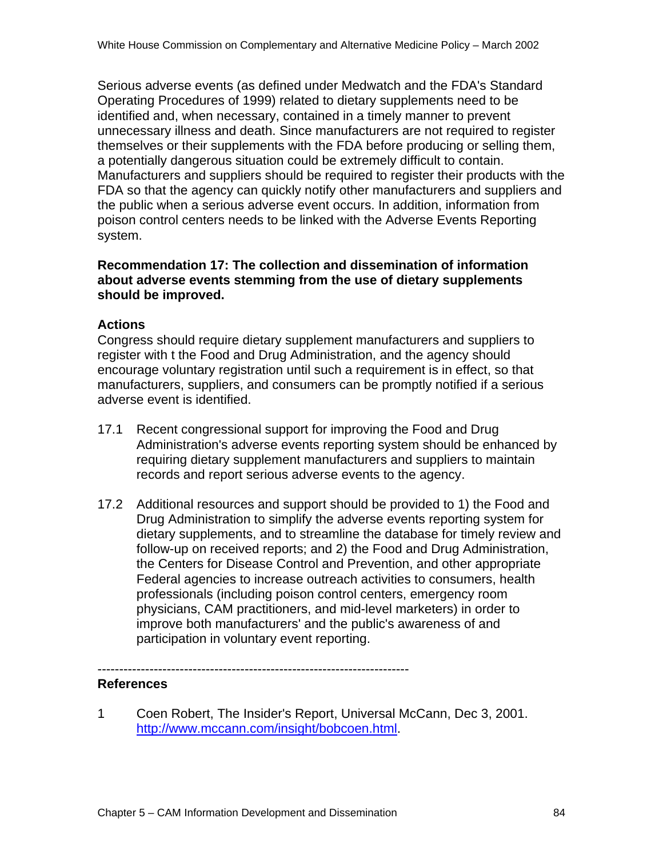Serious adverse events (as defined under Medwatch and the FDA's Standard Operating Procedures of 1999) related to dietary supplements need to be identified and, when necessary, contained in a timely manner to prevent unnecessary illness and death. Since manufacturers are not required to register themselves or their supplements with the FDA before producing or selling them, a potentially dangerous situation could be extremely difficult to contain. Manufacturers and suppliers should be required to register their products with the FDA so that the agency can quickly notify other manufacturers and suppliers and the public when a serious adverse event occurs. In addition, information from poison control centers needs to be linked with the Adverse Events Reporting system.

#### **Recommendation 17: The collection and dissemination of information about adverse events stemming from the use of dietary supplements should be improved.**

#### **Actions**

Congress should require dietary supplement manufacturers and suppliers to register with t the Food and Drug Administration, and the agency should encourage voluntary registration until such a requirement is in effect, so that manufacturers, suppliers, and consumers can be promptly notified if a serious adverse event is identified.

- 17.1 Recent congressional support for improving the Food and Drug Administration's adverse events reporting system should be enhanced by requiring dietary supplement manufacturers and suppliers to maintain records and report serious adverse events to the agency.
- 17.2 Additional resources and support should be provided to 1) the Food and Drug Administration to simplify the adverse events reporting system for dietary supplements, and to streamline the database for timely review and follow-up on received reports; and 2) the Food and Drug Administration, the Centers for Disease Control and Prevention, and other appropriate Federal agencies to increase outreach activities to consumers, health professionals (including poison control centers, emergency room physicians, CAM practitioners, and mid-level marketers) in order to improve both manufacturers' and the public's awareness of and participation in voluntary event reporting.

**References**

1 Coen Robert, The Insider's Report, Universal McCann, Dec 3, 2001. http://www.mccann.com/insight/bobcoen.html.

------------------------------------------------------------------------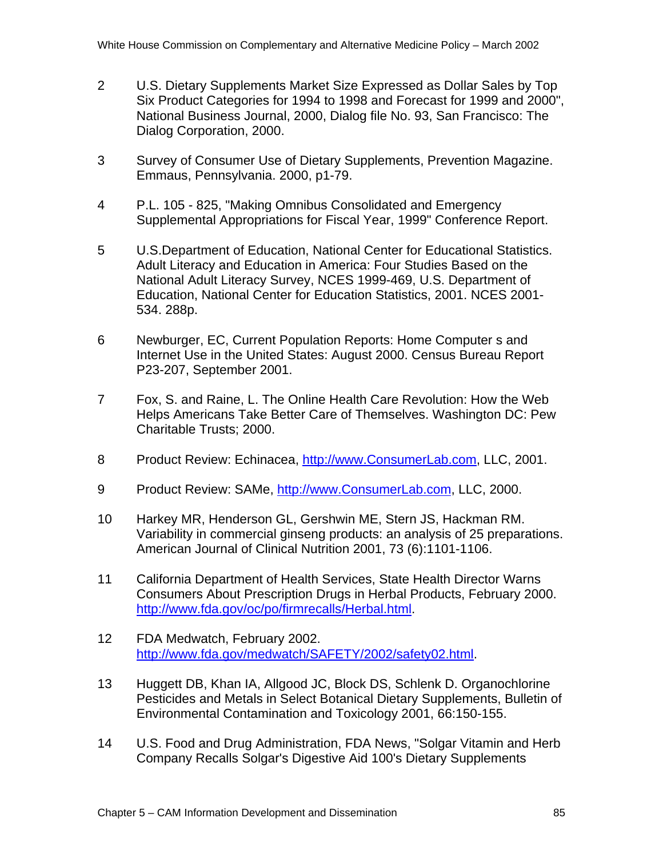- 2 U.S. Dietary Supplements Market Size Expressed as Dollar Sales by Top Six Product Categories for 1994 to 1998 and Forecast for 1999 and 2000", National Business Journal, 2000, Dialog file No. 93, San Francisco: The Dialog Corporation, 2000.
- 3 Survey of Consumer Use of Dietary Supplements, Prevention Magazine. Emmaus, Pennsylvania. 2000, p1-79.
- 4 P.L. 105 825, "Making Omnibus Consolidated and Emergency Supplemental Appropriations for Fiscal Year, 1999" Conference Report.
- 5 U.S.Department of Education, National Center for Educational Statistics. Adult Literacy and Education in America: Four Studies Based on the National Adult Literacy Survey, NCES 1999-469, U.S. Department of Education, National Center for Education Statistics, 2001. NCES 2001- 534. 288p.
- 6 Newburger, EC, Current Population Reports: Home Computer s and Internet Use in the United States: August 2000. Census Bureau Report P23-207, September 2001.
- 7 Fox, S. and Raine, L. The Online Health Care Revolution: How the Web Helps Americans Take Better Care of Themselves. Washington DC: Pew Charitable Trusts; 2000.
- 8 Product Review: Echinacea, http://www.ConsumerLab.com, LLC, 2001.
- 9 Product Review: SAMe, http://www.ConsumerLab.com, LLC, 2000.
- 10 Harkey MR, Henderson GL, Gershwin ME, Stern JS, Hackman RM. Variability in commercial ginseng products: an analysis of 25 preparations. American Journal of Clinical Nutrition 2001, 73 (6):1101-1106.
- 11 California Department of Health Services, State Health Director Warns Consumers About Prescription Drugs in Herbal Products, February 2000. http://www.fda.gov/oc/po/firmrecalls/Herbal.html.
- 12 FDA Medwatch, February 2002. http://www.fda.gov/medwatch/SAFETY/2002/safety02.html.
- 13 Huggett DB, Khan IA, Allgood JC, Block DS, Schlenk D. Organochlorine Pesticides and Metals in Select Botanical Dietary Supplements, Bulletin of Environmental Contamination and Toxicology 2001, 66:150-155.
- 14 U.S. Food and Drug Administration, FDA News, "Solgar Vitamin and Herb Company Recalls Solgar's Digestive Aid 100's Dietary Supplements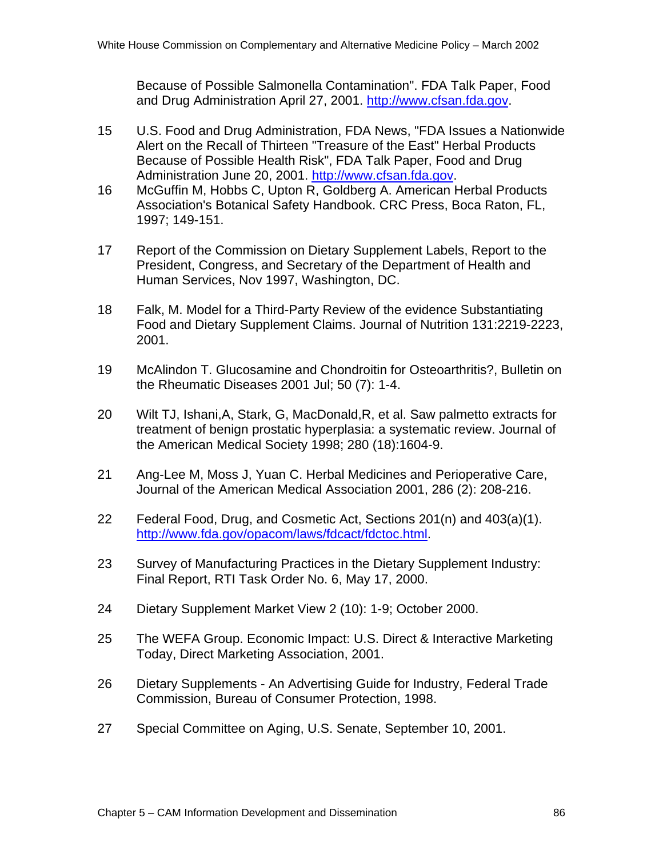Because of Possible Salmonella Contamination". FDA Talk Paper, Food and Drug Administration April 27, 2001. http://www.cfsan.fda.gov.

- 15 U.S. Food and Drug Administration, FDA News, "FDA Issues a Nationwide Alert on the Recall of Thirteen "Treasure of the East" Herbal Products Because of Possible Health Risk", FDA Talk Paper, Food and Drug Administration June 20, 2001. http://www.cfsan.fda.gov.
- 16 McGuffin M, Hobbs C, Upton R, Goldberg A. American Herbal Products Association's Botanical Safety Handbook. CRC Press, Boca Raton, FL, 1997; 149-151.
- 17 Report of the Commission on Dietary Supplement Labels, Report to the President, Congress, and Secretary of the Department of Health and Human Services, Nov 1997, Washington, DC.
- 18 Falk, M. Model for a Third-Party Review of the evidence Substantiating Food and Dietary Supplement Claims. Journal of Nutrition 131:2219-2223, 2001.
- 19 McAlindon T. Glucosamine and Chondroitin for Osteoarthritis?, Bulletin on the Rheumatic Diseases 2001 Jul; 50 (7): 1-4.
- 20 Wilt TJ, Ishani,A, Stark, G, MacDonald,R, et al. Saw palmetto extracts for treatment of benign prostatic hyperplasia: a systematic review. Journal of the American Medical Society 1998; 280 (18):1604-9.
- 21 Ang-Lee M, Moss J, Yuan C. Herbal Medicines and Perioperative Care, Journal of the American Medical Association 2001, 286 (2): 208-216.
- 22 Federal Food, Drug, and Cosmetic Act, Sections 201(n) and 403(a)(1). http://www.fda.gov/opacom/laws/fdcact/fdctoc.html.
- 23 Survey of Manufacturing Practices in the Dietary Supplement Industry: Final Report, RTI Task Order No. 6, May 17, 2000.
- 24 Dietary Supplement Market View 2 (10): 1-9; October 2000.
- 25 The WEFA Group. Economic Impact: U.S. Direct & Interactive Marketing Today, Direct Marketing Association, 2001.
- 26 Dietary Supplements An Advertising Guide for Industry, Federal Trade Commission, Bureau of Consumer Protection, 1998.
- 27 Special Committee on Aging, U.S. Senate, September 10, 2001.